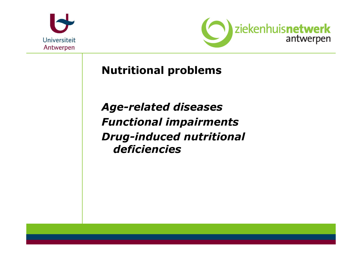



Nutritional problems

Age-related diseases Functional impairments Drug-induced nutritional deficiencies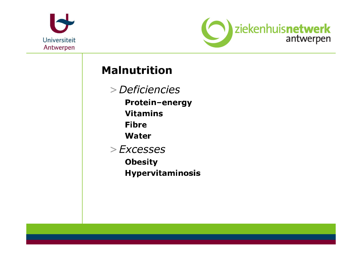



## Malnutrition

>Deficiencies Protein-energy **Vitamins** Fibre Water >Excesses**Obesity** Hypervitaminosis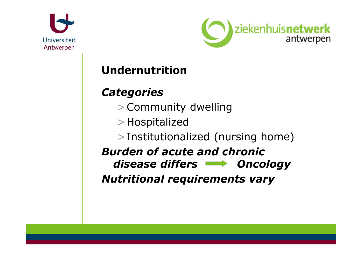



# Undernutrition

## **Categories**

- >Community dwelling
- >Hospitalized
- >Institutionalized (nursing home)

Burden of acute and chronic disease differs **Noting Concology** Nutritional requirements vary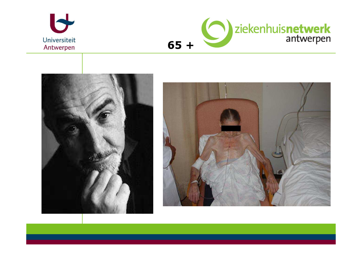





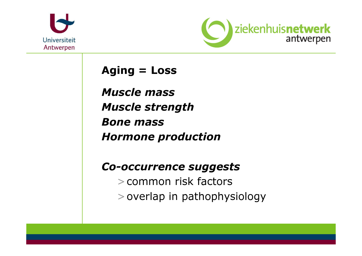



Aging = Loss

Muscle massMuscle strengthBone massHormone production

## Co-occurrence suggests

>common risk factors>overlap in pathophysiology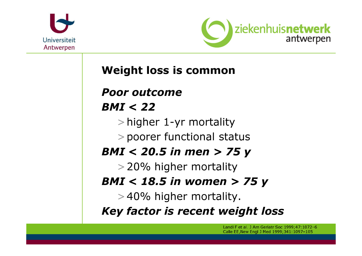



# Weight loss is common

Poor outcome

## BMI < 22

>higher 1-yr mortality

>poorer functional status

# BMI < 20.5 in men > 75 y

>20% higher mortality

# BMI < 18.5 in women > 75 y

>40% higher mortality.

Key factor is recent weight loss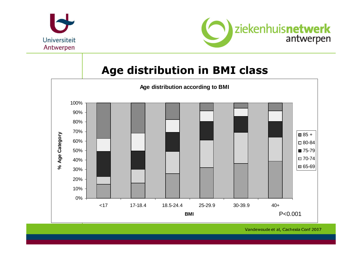



## Age distribution in BMI class



Vandewoude et al, Cachexia Conf 2007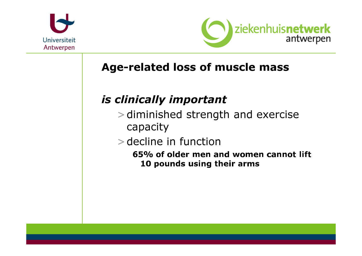



# Age-related loss of muscle mass

# is clinically important

- >diminished strength and exercise capacity
- >decline in function
	- 65% of older men and women cannot lift 10 pounds using their arms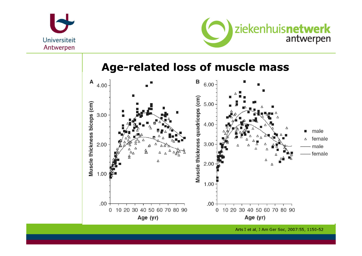



## **Age-related loss of muscle mass**



Arts I et al, J Am Ger Soc, 2007:55, 1150-52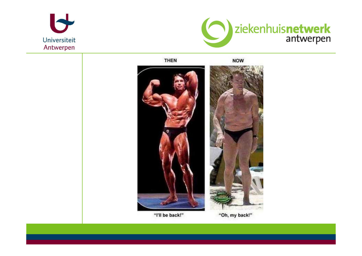





"I'll be back!"

"Oh, my back!"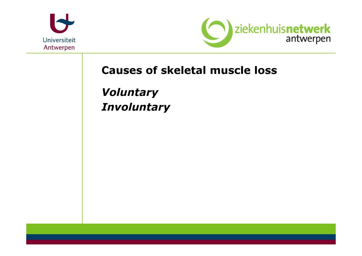



# Causes of skeletal muscle loss

VoluntaryInvoluntary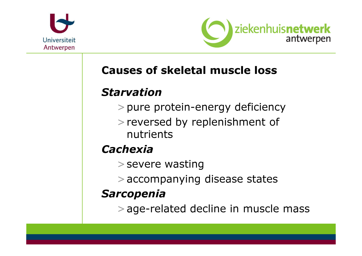



# Causes of skeletal muscle loss

## Starvation

- >pure protein-energy deficiency
- >reversed by replenishment of nutrients

# **Cachexia**

- >severe wasting
- >accompanying disease states

# Sarcopenia

>age-related decline in muscle mass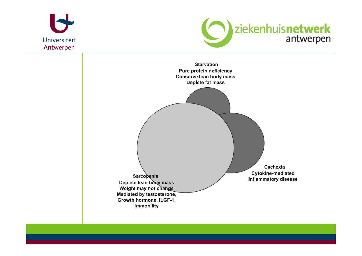



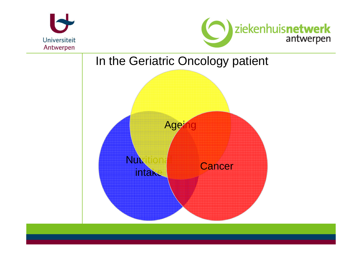



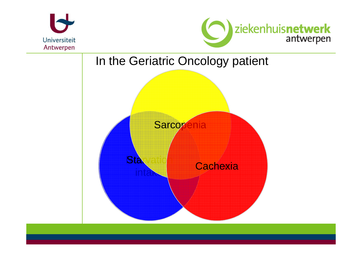



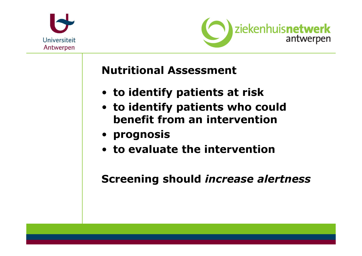



Nutritional Assessment

- to identify patients at risk
- to identify patients who could benefit from an intervention
- prognosis
- to evaluate the intervention

Screening should increase alertness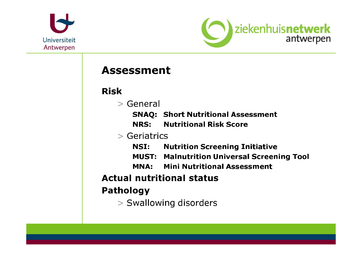



## **Assessment**

#### **Risk**

- $>$  General
	- **SNAQ: Short Nutritional Assessment**
	- NRS: **Nutritional Risk Score**

#### $>$  Geriatrics

- NSI: **Nutrition Screening Initiative**
- **MUST: Malnutrition Universal Screening Tool**
- **Mini Nutritional Assessment** MNA:

#### **Actual nutritional status**

### **Pathology**

> Swallowing disorders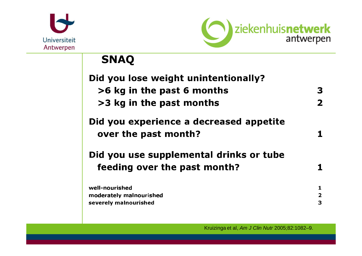



# **SNAQ**

| Did you lose weight unintentionally?                            |                         |
|-----------------------------------------------------------------|-------------------------|
| >6 kg in the past 6 months                                      | 3                       |
| >3 kg in the past months                                        | 2                       |
| Did you experience a decreased appetite<br>over the past month? |                         |
| Did you use supplemental drinks or tube                         |                         |
| feeding over the past month?                                    |                         |
| well-nourished                                                  | 1                       |
| moderately malnourished                                         | $\overline{\mathbf{2}}$ |
| severely malnourished                                           | 3                       |

Kruizinga et al, Am J Clin Nutr 2005;82:1082-9.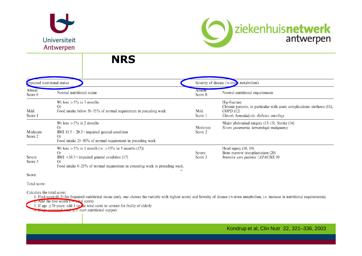



**NRS** 

| Impaired nutritional status |                                                                                                                                                                                                                    | Severity of disease ( $\approx$ stres) metabolism) |                                                                                                                                                   |  |
|-----------------------------|--------------------------------------------------------------------------------------------------------------------------------------------------------------------------------------------------------------------|----------------------------------------------------|---------------------------------------------------------------------------------------------------------------------------------------------------|--|
| Absent<br>Score 0           | Normal nutritional status                                                                                                                                                                                          | <b>A</b> bsent<br>Score 0                          | Normal nutritional requirements                                                                                                                   |  |
| Mild<br>Score 1             | Wt loss $> 5\%$ in 3 months<br>Or<br>Food intake below 50–75% of normal requirement in preceding week                                                                                                              | Mild<br>Score 1                                    | Hip fracture<br>Chronic patients, in particular with acute complications: cirrhosis (11),<br>COPD(12)<br>Chronic hemodialysis, diabetes, oncology |  |
| Moderate<br>Score 2         | Wt loss $> 5\%$ in 2 months<br>Or<br>BMI $18.5 - 20.5 +$ impaired general condition<br>Or<br>Food intake 25-50% of normal requirement in preceding week                                                            | Moderate<br>Score 2                                | Major abdominal surgery (13-15). Stroke (16)<br>Severe pneumonia, hematologic malignancy                                                          |  |
| Severe<br>Score 3           | Wt loss > 5% in 1 month ( $\approx$ >15% in 3 months (17))<br>Or<br>$<$ 18.5 + impaired general condition (17)<br>BMI<br><b>Or</b><br>Food intake 0-25% of normal requirement in preceding week in preceding week. | Severe<br>Score 3                                  | Head injury $(18, 19)$<br>Bone marrow transplantation (20)<br>Intensive care patients (APACHE 10                                                  |  |

Score:

Total score:

Calculate the total score:

1. Find score (0–3) for Impaired nutritional status (only one: choose the variable with highest score) and Severity of disease (≈ stress metabolism, i.e. increase in nutritional requirements).  $\rightarrow$  Add the two scores  $\rightarrow$  at al score)

3. If age  $\geq$  70 years: add 1 to the total score to correct for frailty of elderly

Kondrup et al, Clin Nutr 22, 321–336, 2003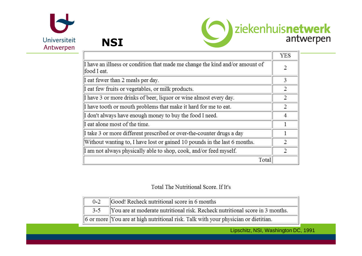



**NSI** 

|                                                                                             | <b>YES</b>     |
|---------------------------------------------------------------------------------------------|----------------|
| I have an illness or condition that made me change the kind and/or amount of<br>food I eat. | 2              |
| I eat fewer than 2 meals per day.                                                           | 3              |
| I eat few fruits or vegetables, or milk products.                                           | $\overline{2}$ |
| I have 3 or more drinks of beer, liquor or wine almost every day.                           | $\overline{2}$ |
| I have tooth or mouth problems that make it hard for me to eat.                             | 2              |
| I don't always have enough money to buy the food I need.                                    | $\overline{4}$ |
| I eat alone most of the time.                                                               |                |
| I take 3 or more different prescribed or over-the-counter drugs a day                       |                |
| Without wanting to, I have lost or gained 10 pounds in the last 6 months.                   | $\overline{2}$ |
| I am not always physically able to shop, cook, and/or feed myself.                          | $\overline{2}$ |
| Total                                                                                       |                |

#### Total The Nutritional Score. If It's

| $0 - 2$ | Good! Recheck nutritional score in 6 months                                        |
|---------|------------------------------------------------------------------------------------|
|         | 3-5 You are at moderate nutritional risk. Recheck nutritional score in 3 months.   |
|         | 6 or more You are at high nutritional risk. Talk with your physician or dietitian. |

Lipschitz, NSI, Washington DC, 1991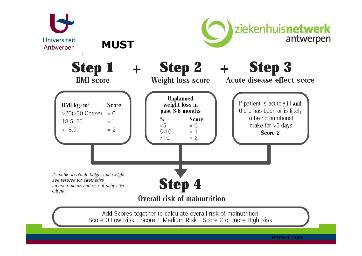

**MUST** 





Add Scores together to calculate overall risk of malnutrition<br>Score 0 Low Risk Score 1 Medium Risk Score 2 or more High Risk

BAPEN, 2008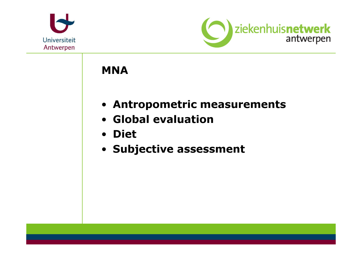



## MNA

- Antropometric measurements
- Global evaluation
- Diet
- Subjective assessment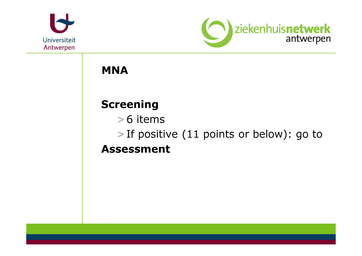



**MNA** 

# Screening

>6 items

>If positive (11 points or below): go toAssessment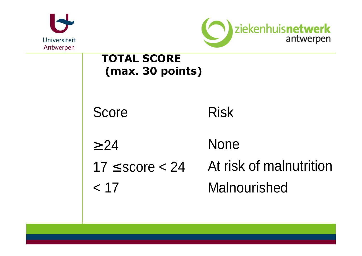



# TOTAL SCORE(max. 30 points)

Score Risk

- $\geq$  24 None
- 

 $17 \leq$  score  $<$  24 At risk of malnutrition < 17 Malnourished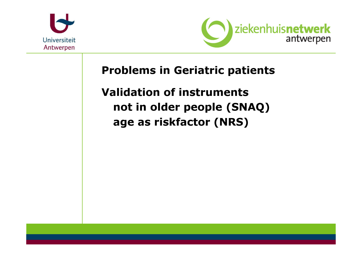



Problems in Geriatric patients

Validation of instruments not in older people (SNAQ)age as riskfactor (NRS)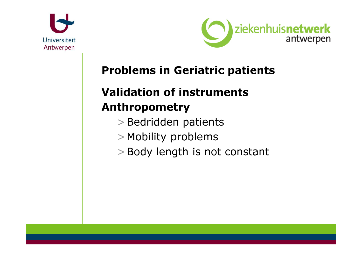



# Problems in Geriatric patients

# Validation of instrumentsAnthropometry

- >Bedridden patients
- >Mobility problems
- >Body length is not constant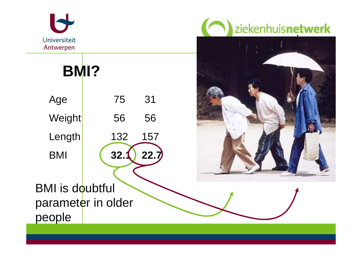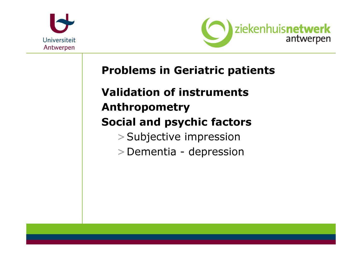



## Problems in Geriatric patients

# Validation of instrumentsAnthropometry

# Social and psychic factors

- >Subjective impression
- >Dementia depression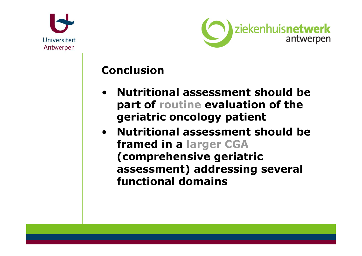



## Conclusion

- • Nutritional assessment should be part of routine evaluation of the geriatric oncology patient
- Nutritional assessment should be framed in a larger CGA(comprehensive geriatric assessment) addressing several functional domains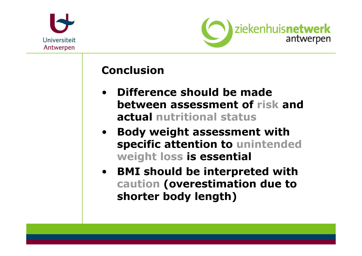



## Conclusion

- • Difference should be made between assessment of risk and actual nutritional status
- $\bullet$  Body weight assessment with specific attention to unintended weight loss is essential
- BMI should be interpreted with caution (overestimation due to shorter body length)